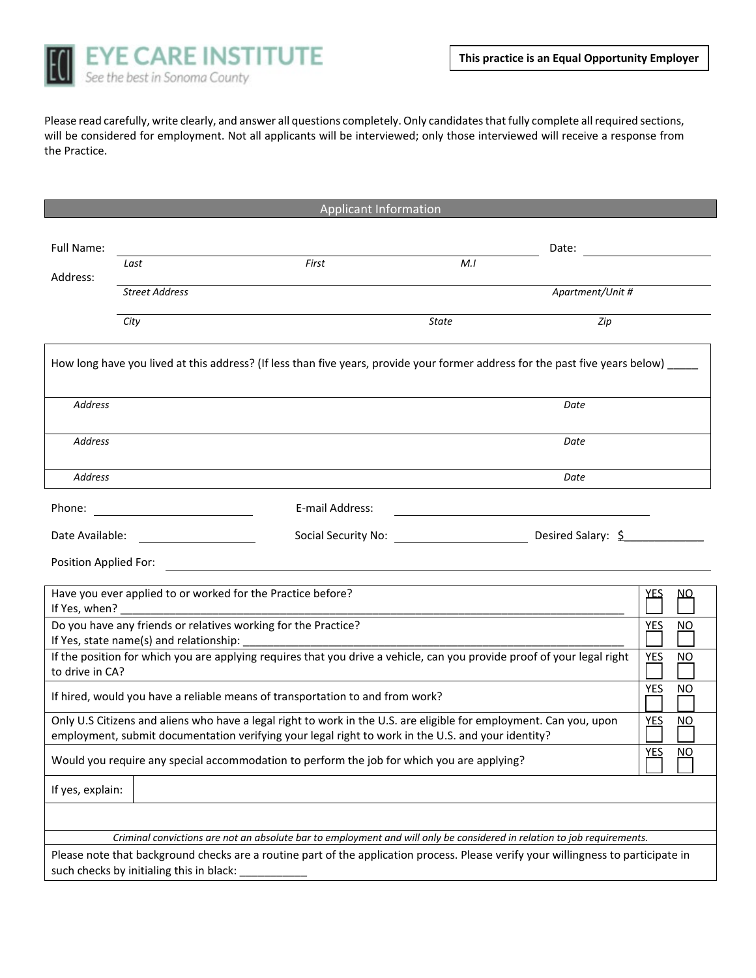

Please read carefully, write clearly, and answer all questions completely. Only candidates that fully complete all required sections, will be considered for employment. Not all applicants will be interviewed; only those interviewed will receive a response from the Practice.

|  | <b>Applicant Information</b> |  |  |  |
|--|------------------------------|--|--|--|
|  |                              |  |  |  |

| Full Name:            |                                                                                                           |                                                                                                                                                                                                                          |       | Date:            |            |    |
|-----------------------|-----------------------------------------------------------------------------------------------------------|--------------------------------------------------------------------------------------------------------------------------------------------------------------------------------------------------------------------------|-------|------------------|------------|----|
|                       | Last                                                                                                      | First                                                                                                                                                                                                                    | M.I   |                  |            |    |
| Address:              | <b>Street Address</b>                                                                                     |                                                                                                                                                                                                                          |       | Apartment/Unit # |            |    |
|                       |                                                                                                           |                                                                                                                                                                                                                          |       |                  |            |    |
|                       | City                                                                                                      |                                                                                                                                                                                                                          | State | Zip              |            |    |
|                       |                                                                                                           | How long have you lived at this address? (If less than five years, provide your former address for the past five years below) _____                                                                                      |       |                  |            |    |
| <b>Address</b>        |                                                                                                           |                                                                                                                                                                                                                          |       | Date             |            |    |
| <b>Address</b>        |                                                                                                           |                                                                                                                                                                                                                          |       | Date             |            |    |
| <b>Address</b>        |                                                                                                           |                                                                                                                                                                                                                          |       | Date             |            |    |
| Phone:                |                                                                                                           | E-mail Address:                                                                                                                                                                                                          |       |                  |            |    |
| Date Available:       |                                                                                                           |                                                                                                                                                                                                                          |       |                  |            |    |
| Position Applied For: |                                                                                                           |                                                                                                                                                                                                                          |       |                  |            |    |
|                       | Have you ever applied to or worked for the Practice before?                                               |                                                                                                                                                                                                                          |       |                  | YES        | ΝО |
|                       | Do you have any friends or relatives working for the Practice?<br>If Yes, state name(s) and relationship: |                                                                                                                                                                                                                          |       |                  | <b>YES</b> | NO |
| to drive in CA?       |                                                                                                           | If the position for which you are applying requires that you drive a vehicle, can you provide proof of your legal right                                                                                                  |       |                  | <b>YES</b> | NO |
|                       |                                                                                                           | If hired, would you have a reliable means of transportation to and from work?                                                                                                                                            |       |                  | <b>YES</b> | NO |
|                       |                                                                                                           | Only U.S Citizens and aliens who have a legal right to work in the U.S. are eligible for employment. Can you, upon<br>employment, submit documentation verifying your legal right to work in the U.S. and your identity? |       |                  | <b>YES</b> | NO |
|                       |                                                                                                           | Would you require any special accommodation to perform the job for which you are applying?                                                                                                                               |       |                  | <b>YES</b> | NO |
| If yes, explain:      |                                                                                                           |                                                                                                                                                                                                                          |       |                  |            |    |
|                       |                                                                                                           |                                                                                                                                                                                                                          |       |                  |            |    |
|                       |                                                                                                           | Criminal convictions are not an absolute bar to employment and will only be considered in relation to job requirements.                                                                                                  |       |                  |            |    |
|                       | such checks by initialing this in black:                                                                  | Please note that background checks are a routine part of the application process. Please verify your willingness to participate in                                                                                       |       |                  |            |    |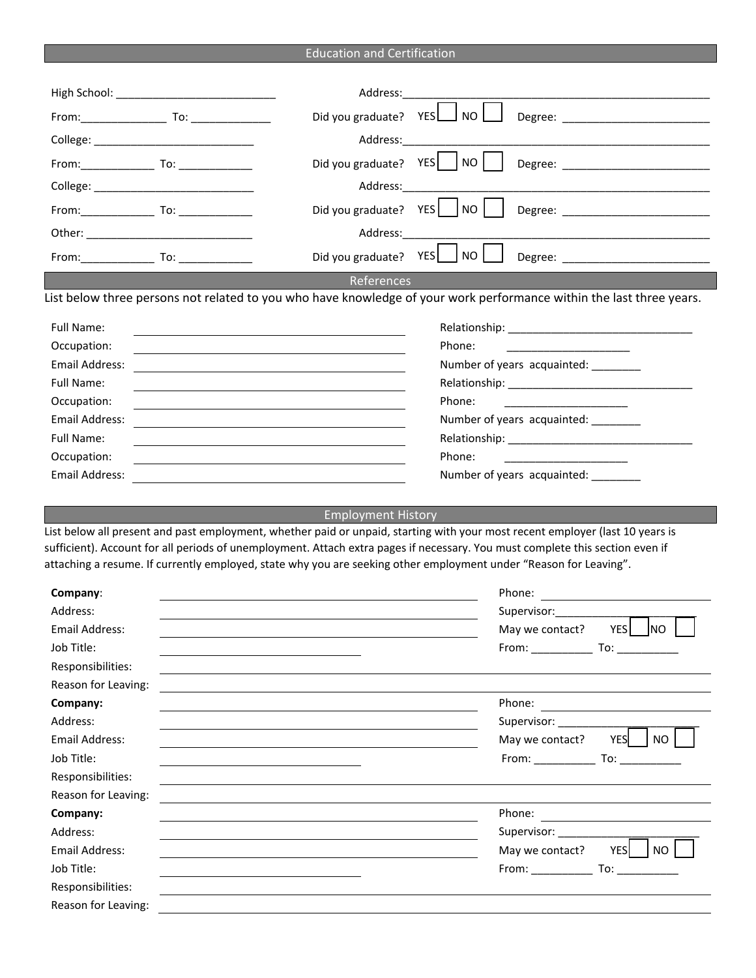|  | <b>Education and Certification</b> |
|--|------------------------------------|
|  |                                    |

|                     | Address:___                                                                                                       |                                                      |                                                                                                                                                                                                                                                                |
|---------------------|-------------------------------------------------------------------------------------------------------------------|------------------------------------------------------|----------------------------------------------------------------------------------------------------------------------------------------------------------------------------------------------------------------------------------------------------------------|
|                     | Did you graduate? YES                                                                                             | $\overline{\phantom{a}}$ NO $\overline{\phantom{a}}$ |                                                                                                                                                                                                                                                                |
|                     | Address:                                                                                                          |                                                      |                                                                                                                                                                                                                                                                |
|                     | Did you graduate? YES   NO                                                                                        |                                                      |                                                                                                                                                                                                                                                                |
|                     |                                                                                                                   |                                                      |                                                                                                                                                                                                                                                                |
|                     | Address:                                                                                                          |                                                      |                                                                                                                                                                                                                                                                |
|                     | Did you graduate? YES   NO                                                                                        |                                                      | Degree: _________________________                                                                                                                                                                                                                              |
|                     | Address: <b>Address</b>                                                                                           |                                                      |                                                                                                                                                                                                                                                                |
|                     | Did you graduate? YES   NO                                                                                        |                                                      | Degree: ____________________________                                                                                                                                                                                                                           |
|                     | References                                                                                                        |                                                      |                                                                                                                                                                                                                                                                |
|                     |                                                                                                                   |                                                      | List below three persons not related to you who have knowledge of your work performance within the last three years.                                                                                                                                           |
| Full Name:          |                                                                                                                   |                                                      |                                                                                                                                                                                                                                                                |
| Occupation:         |                                                                                                                   | Phone:                                               |                                                                                                                                                                                                                                                                |
| Email Address:      |                                                                                                                   |                                                      | Number of years acquainted: ________                                                                                                                                                                                                                           |
| <b>Full Name:</b>   |                                                                                                                   |                                                      | Relationship: Note and the set of the set of the set of the set of the set of the set of the set of the set of                                                                                                                                                 |
| Occupation:         |                                                                                                                   | Phone:                                               |                                                                                                                                                                                                                                                                |
| Email Address:      |                                                                                                                   |                                                      | Number of years acquainted: ________                                                                                                                                                                                                                           |
| <b>Full Name:</b>   |                                                                                                                   |                                                      |                                                                                                                                                                                                                                                                |
| Occupation:         |                                                                                                                   | Phone:                                               |                                                                                                                                                                                                                                                                |
| Email Address:      |                                                                                                                   |                                                      | Number of years acquainted:                                                                                                                                                                                                                                    |
|                     | <b>Employment History</b>                                                                                         |                                                      |                                                                                                                                                                                                                                                                |
|                     | attaching a resume. If currently employed, state why you are seeking other employment under "Reason for Leaving". |                                                      | List below all present and past employment, whether paid or unpaid, starting with your most recent employer (last 10 years is<br>sufficient). Account for all periods of unemployment. Attach extra pages if necessary. You must complete this section even if |
| Company:            |                                                                                                                   |                                                      |                                                                                                                                                                                                                                                                |
| Address:            |                                                                                                                   |                                                      | Supervisor: $\qquad \qquad \qquad \qquad$                                                                                                                                                                                                                      |
| Email Address:      |                                                                                                                   |                                                      | May we contact?<br>YES NO                                                                                                                                                                                                                                      |
| Job Title:          |                                                                                                                   |                                                      |                                                                                                                                                                                                                                                                |
| Responsibilities:   |                                                                                                                   |                                                      |                                                                                                                                                                                                                                                                |
| Reason for Leaving: |                                                                                                                   |                                                      |                                                                                                                                                                                                                                                                |
| Company:            |                                                                                                                   |                                                      | Phone:<br><u> 1989 - Johann Harry Harry Harry Harry Harry Harry Harry Harry Harry Harry Harry Harry Harry Harry Harry Harry</u>                                                                                                                                |
| Address:            |                                                                                                                   |                                                      | Supervisor: _______                                                                                                                                                                                                                                            |
| Email Address:      |                                                                                                                   |                                                      | <b>YES</b><br>NO<br>May we contact?                                                                                                                                                                                                                            |
| Job Title:          |                                                                                                                   |                                                      |                                                                                                                                                                                                                                                                |
| Responsibilities:   |                                                                                                                   |                                                      |                                                                                                                                                                                                                                                                |
| Reason for Leaving: |                                                                                                                   |                                                      |                                                                                                                                                                                                                                                                |
| Company:            |                                                                                                                   |                                                      | Phone:                                                                                                                                                                                                                                                         |
| Address:            |                                                                                                                   |                                                      |                                                                                                                                                                                                                                                                |
| Email Address:      |                                                                                                                   |                                                      | <b>YES</b><br><b>NO</b><br>May we contact?                                                                                                                                                                                                                     |

Job Title:

Responsibilities: Reason for Leaving:

| <b>IVIUY WE COTTLUCT:</b> | .<br>. |
|---------------------------|--------|
| From:                     | ∙∩ ا   |